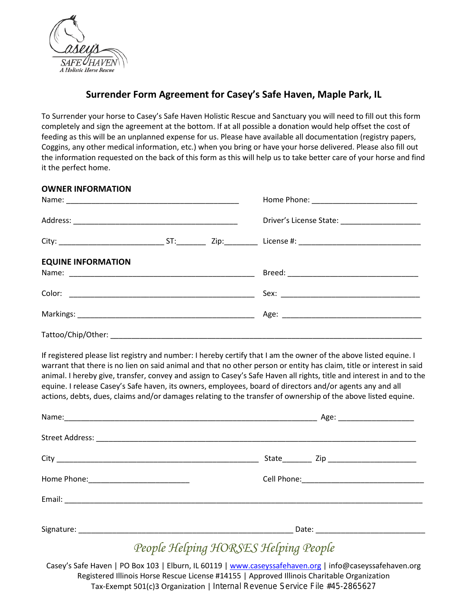

## **Surrender Form Agreement for Casey's Safe Haven, Maple Park, IL**

To Surrender your horse to Casey's Safe Haven Holistic Rescue and Sanctuary you will need to fill out this form completely and sign the agreement at the bottom. If at all possible a donation would help offset the cost of feeding as this will be an unplanned expense for us. Please have available all documentation (registry papers, Coggins, any other medical information, etc.) when you bring or have your horse delivered. Please also fill out the information requested on the back of this form as this will help us to take better care of your horse and find it the perfect home.

| <b>OWNER INFORMATION</b>  |  |  |
|---------------------------|--|--|
|                           |  |  |
|                           |  |  |
|                           |  |  |
| <b>EQUINE INFORMATION</b> |  |  |
|                           |  |  |
|                           |  |  |
|                           |  |  |
|                           |  |  |

If registered please list registry and number: I hereby certify that I am the owner of the above listed equine. I warrant that there is no lien on said animal and that no other person or entity has claim, title or interest in said animal. I hereby give, transfer, convey and assign to Casey's Safe Haven all rights, title and interest in and to the equine. I release Casey's Safe haven, its owners, employees, board of directors and/or agents any and all actions, debts, dues, claims and/or damages relating to the transfer of ownership of the above listed equine.

|                                                                                                      | Age: _______________________ |
|------------------------------------------------------------------------------------------------------|------------------------------|
|                                                                                                      |                              |
|                                                                                                      |                              |
| Home Phone: 2000 2000 2010 2010 2020 2020 2021 2022 2022 2022 2022 2023 2024 2022 2023 2024 2022 202 |                              |
|                                                                                                      |                              |
|                                                                                                      |                              |

## *People Helping HORSES Helping People*

Casey's Safe Haven | PO Box 103 | Elburn, IL 60119 | [www.caseyssafehaven.org](http://www.caseyssafehaven.org/) | info@caseyssafehaven.org Registered Illinois Horse Rescue License #14155 | Approved Illinois Charitable Organization Tax-Exempt 501(c)3 Organization | Internal Revenue Service File #45-2865627